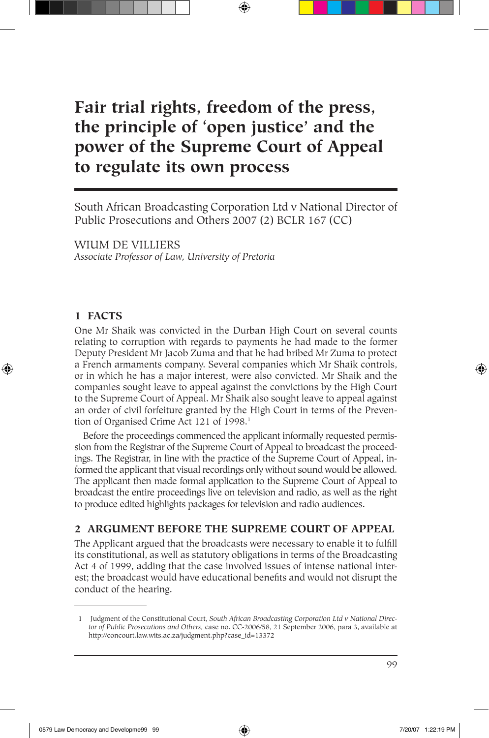# **Fair trial rights, freedom of the press, the principle of 'open justice' and the power of the Supreme Court of Appeal to regulate its own process**

South African Broadcasting Corporation Ltd v National Director of Public Prosecutions and Others 2007 (2) BCLR 167 (CC)

WIUM DE VILLIERS *Associate Professor of Law, University of Pretoria*

### **1 FACTS**

⊕

One Mr Shaik was convicted in the Durban High Court on several counts relating to corruption with regards to payments he had made to the former Deputy President Mr Jacob Zuma and that he had bribed Mr Zuma to protect a French armaments company. Several companies which Mr Shaik controls, or in which he has a major interest, were also convicted. Mr Shaik and the companies sought leave to appeal against the convictions by the High Court to the Supreme Court of Appeal. Mr Shaik also sought leave to appeal against an order of civil forfeiture granted by the High Court in terms of the Prevention of Organised Crime Act 121 of 1998.<sup>1</sup>

Before the proceedings commenced the applicant informally requested permission from the Registrar of the Supreme Court of Appeal to broadcast the proceedings. The Registrar, in line with the practice of the Supreme Court of Appeal, informed the applicant that visual recordings only without sound would be allowed. The applicant then made formal application to the Supreme Court of Appeal to broadcast the entire proceedings live on television and radio, as well as the right to produce edited highlights packages for television and radio audiences.

# **2 ARGUMENT BEFORE THE SUPREME COURT OF APPEAL**

The Applicant argued that the broadcasts were necessary to enable it to fulfill its constitutional, as well as statutory obligations in terms of the Broadcasting Act 4 of 1999, adding that the case involved issues of intense national interest; the broadcast would have educational benefits and would not disrupt the conduct of the hearing.

 <sup>1</sup> Judgment of the Constitutional Court, *South African Broadcasting Corporation Ltd v National Director of Public Prosecutions and Others,* case no. CC-2006/58, 21 September 2006, para 3, available at http://concourt.law.wits.ac.za/judgment.php?case\_id=13372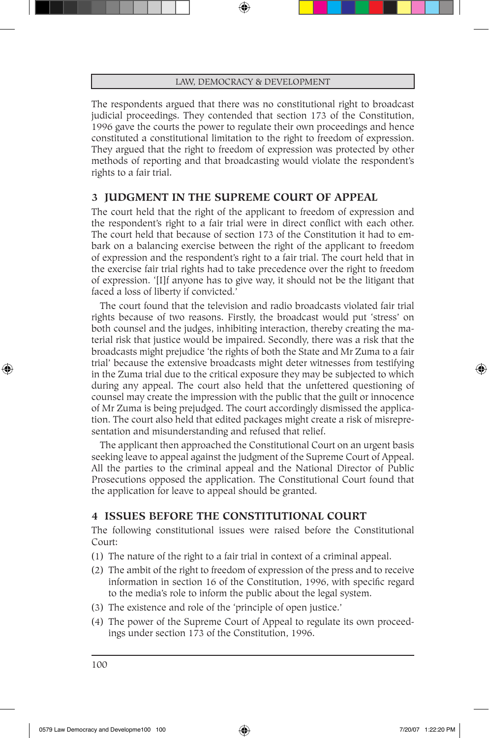The respondents argued that there was no constitutional right to broadcast judicial proceedings. They contended that section 173 of the Constitution, 1996 gave the courts the power to regulate their own proceedings and hence constituted a constitutional limitation to the right to freedom of expression. They argued that the right to freedom of expression was protected by other methods of reporting and that broadcasting would violate the respondent's rights to a fair trial.

### **3 JUDGMENT IN THE SUPREME COURT OF APPEAL**

The court held that the right of the applicant to freedom of expression and the respondent's right to a fair trial were in direct conflict with each other. The court held that because of section 173 of the Constitution it had to embark on a balancing exercise between the right of the applicant to freedom of expression and the respondent's right to a fair trial. The court held that in the exercise fair trial rights had to take precedence over the right to freedom of expression. '[I]f anyone has to give way, it should not be the litigant that faced a loss of liberty if convicted.'

The court found that the television and radio broadcasts violated fair trial rights because of two reasons. Firstly, the broadcast would put 'stress' on both counsel and the judges, inhibiting interaction, thereby creating the material risk that justice would be impaired. Secondly, there was a risk that the broadcasts might prejudice 'the rights of both the State and Mr Zuma to a fair trial' because the extensive broadcasts might deter witnesses from testifying in the Zuma trial due to the critical exposure they may be subjected to which during any appeal. The court also held that the unfettered questioning of counsel may create the impression with the public that the guilt or innocence of Mr Zuma is being prejudged. The court accordingly dismissed the application. The court also held that edited packages might create a risk of misrepresentation and misunderstanding and refused that relief.

The applicant then approached the Constitutional Court on an urgent basis seeking leave to appeal against the judgment of the Supreme Court of Appeal. All the parties to the criminal appeal and the National Director of Public Prosecutions opposed the application. The Constitutional Court found that the application for leave to appeal should be granted.

### **4 ISSUES BEFORE THE CONSTITUTIONAL COURT**

The following constitutional issues were raised before the Constitutional Court:

- (1) The nature of the right to a fair trial in context of a criminal appeal.
- (2) The ambit of the right to freedom of expression of the press and to receive information in section 16 of the Constitution, 1996, with specific regard to the media's role to inform the public about the legal system.
- (3) The existence and role of the 'principle of open justice.'
- (4) The power of the Supreme Court of Appeal to regulate its own proceedings under section 173 of the Constitution, 1996.

100

⊕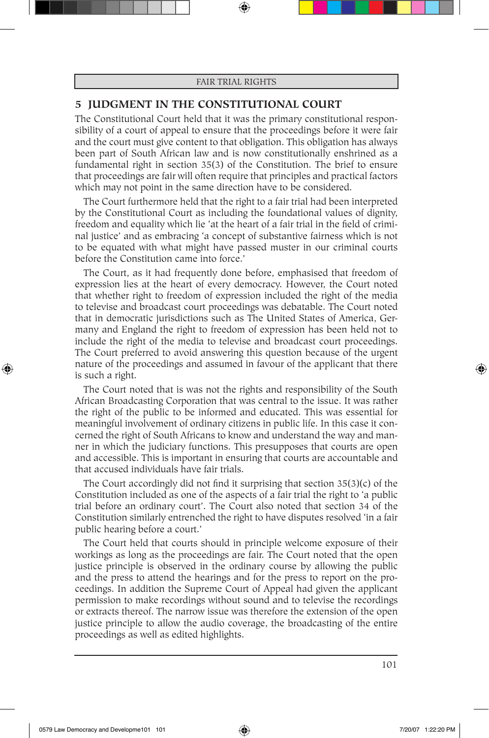### **5 JUDGMENT IN THE CONSTITUTIONAL COURT**

The Constitutional Court held that it was the primary constitutional responsibility of a court of appeal to ensure that the proceedings before it were fair and the court must give content to that obligation. This obligation has always been part of South African law and is now constitutionally enshrined as a fundamental right in section 35(3) of the Constitution. The brief to ensure that proceedings are fair will often require that principles and practical factors which may not point in the same direction have to be considered.

The Court furthermore held that the right to a fair trial had been interpreted by the Constitutional Court as including the foundational values of dignity, freedom and equality which lie 'at the heart of a fair trial in the field of criminal justice' and as embracing 'a concept of substantive fairness which is not to be equated with what might have passed muster in our criminal courts before the Constitution came into force.'

The Court, as it had frequently done before, emphasised that freedom of expression lies at the heart of every democracy. However, the Court noted that whether right to freedom of expression included the right of the media to televise and broadcast court proceedings was debatable. The Court noted that in democratic jurisdictions such as The United States of America, Germany and England the right to freedom of expression has been held not to include the right of the media to televise and broadcast court proceedings. The Court preferred to avoid answering this question because of the urgent nature of the proceedings and assumed in favour of the applicant that there is such a right.

The Court noted that is was not the rights and responsibility of the South African Broadcasting Corporation that was central to the issue. It was rather the right of the public to be informed and educated. This was essential for meaningful involvement of ordinary citizens in public life. In this case it concerned the right of South Africans to know and understand the way and manner in which the judiciary functions. This presupposes that courts are open and accessible. This is important in ensuring that courts are accountable and that accused individuals have fair trials.

The Court accordingly did not find it surprising that section 35(3)(c) of the Constitution included as one of the aspects of a fair trial the right to 'a public trial before an ordinary court'. The Court also noted that section 34 of the Constitution similarly entrenched the right to have disputes resolved 'in a fair public hearing before a court.'

The Court held that courts should in principle welcome exposure of their workings as long as the proceedings are fair. The Court noted that the open justice principle is observed in the ordinary course by allowing the public and the press to attend the hearings and for the press to report on the proceedings. In addition the Supreme Court of Appeal had given the applicant permission to make recordings without sound and to televise the recordings or extracts thereof. The narrow issue was therefore the extension of the open justice principle to allow the audio coverage, the broadcasting of the entire proceedings as well as edited highlights.

101

⊕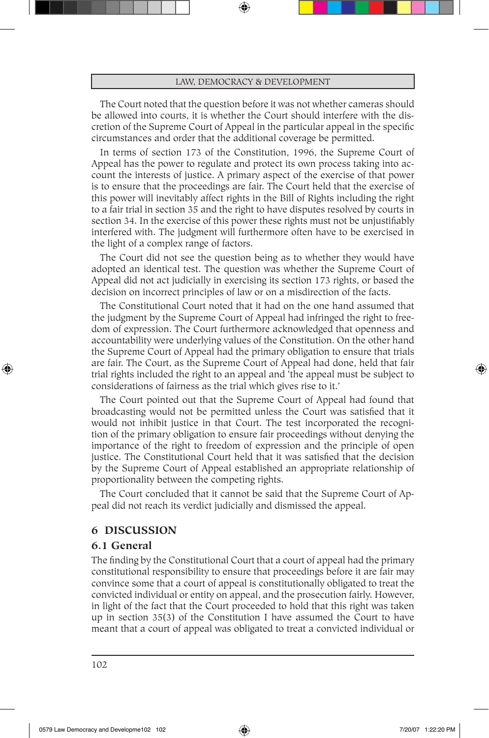The Court noted that the question before it was not whether cameras should be allowed into courts, it is whether the Court should interfere with the discretion of the Supreme Court of Appeal in the particular appeal in the specific circumstances and order that the additional coverage be permitted.

In terms of section 173 of the Constitution, 1996, the Supreme Court of Appeal has the power to regulate and protect its own process taking into account the interests of justice. A primary aspect of the exercise of that power is to ensure that the proceedings are fair. The Court held that the exercise of this power will inevitably affect rights in the Bill of Rights including the right to a fair trial in section 35 and the right to have disputes resolved by courts in section 34. In the exercise of this power these rights must not be unjustifiably interfered with. The judgment will furthermore often have to be exercised in the light of a complex range of factors.

The Court did not see the question being as to whether they would have adopted an identical test. The question was whether the Supreme Court of Appeal did not act judicially in exercising its section 173 rights, or based the decision on incorrect principles of law or on a misdirection of the facts.

The Constitutional Court noted that it had on the one hand assumed that the judgment by the Supreme Court of Appeal had infringed the right to freedom of expression. The Court furthermore acknowledged that openness and accountability were underlying values of the Constitution. On the other hand the Supreme Court of Appeal had the primary obligation to ensure that trials are fair. The Court, as the Supreme Court of Appeal had done, held that fair trial rights included the right to an appeal and 'the appeal must be subject to considerations of fairness as the trial which gives rise to it.'

The Court pointed out that the Supreme Court of Appeal had found that broadcasting would not be permitted unless the Court was satisfied that it would not inhibit justice in that Court. The test incorporated the recognition of the primary obligation to ensure fair proceedings without denying the importance of the right to freedom of expression and the principle of open justice. The Constitutional Court held that it was satisfied that the decision by the Supreme Court of Appeal established an appropriate relationship of proportionality between the competing rights.

The Court concluded that it cannot be said that the Supreme Court of Appeal did not reach its verdict judicially and dismissed the appeal.

### **6 DISCUSSION**

### **6.1 General**

⊕

The finding by the Constitutional Court that a court of appeal had the primary constitutional responsibility to ensure that proceedings before it are fair may convince some that a court of appeal is constitutionally obligated to treat the convicted individual or entity on appeal, and the prosecution fairly. However, in light of the fact that the Court proceeded to hold that this right was taken up in section 35(3) of the Constitution I have assumed the Court to have meant that a court of appeal was obligated to treat a convicted individual or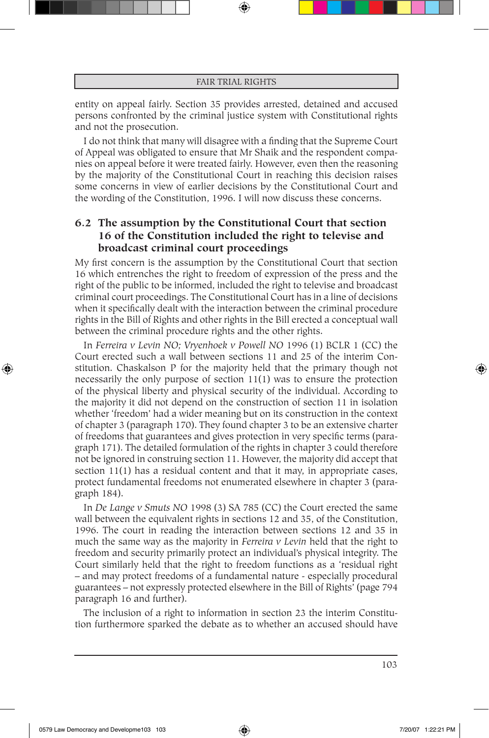entity on appeal fairly. Section 35 provides arrested, detained and accused persons confronted by the criminal justice system with Constitutional rights and not the prosecution.

I do not think that many will disagree with a finding that the Supreme Court of Appeal was obligated to ensure that Mr Shaik and the respondent companies on appeal before it were treated fairly. However, even then the reasoning by the majority of the Constitutional Court in reaching this decision raises some concerns in view of earlier decisions by the Constitutional Court and the wording of the Constitution, 1996. I will now discuss these concerns.

# **6.2 The assumption by the Constitutional Court that section 16 of the Constitution included the right to televise and broadcast criminal court proceedings**

My first concern is the assumption by the Constitutional Court that section 16 which entrenches the right to freedom of expression of the press and the right of the public to be informed, included the right to televise and broadcast criminal court proceedings. The Constitutional Court has in a line of decisions when it specifically dealt with the interaction between the criminal procedure rights in the Bill of Rights and other rights in the Bill erected a conceptual wall between the criminal procedure rights and the other rights.

In *Ferreira v Levin NO; Vryenhoek v Powell NO* 1996 (1) BCLR 1 (CC) the Court erected such a wall between sections 11 and 25 of the interim Constitution. Chaskalson P for the majority held that the primary though not necessarily the only purpose of section 11(1) was to ensure the protection of the physical liberty and physical security of the individual. According to the majority it did not depend on the construction of section 11 in isolation whether 'freedom' had a wider meaning but on its construction in the context of chapter 3 (paragraph 170). They found chapter 3 to be an extensive charter of freedoms that guarantees and gives protection in very specific terms (paragraph 171). The detailed formulation of the rights in chapter 3 could therefore not be ignored in construing section 11. However, the majority did accept that section 11(1) has a residual content and that it may, in appropriate cases, protect fundamental freedoms not enumerated elsewhere in chapter 3 (paragraph 184).

In *De Lange v Smuts NO* 1998 (3) SA 785 (CC) the Court erected the same wall between the equivalent rights in sections 12 and 35, of the Constitution, 1996. The court in reading the interaction between sections 12 and 35 in much the same way as the majority in *Ferreira v Levin* held that the right to freedom and security primarily protect an individual's physical integrity. The Court similarly held that the right to freedom functions as a 'residual right – and may protect freedoms of a fundamental nature - especially procedural guarantees – not expressly protected elsewhere in the Bill of Rights' (page 794 paragraph 16 and further).

The inclusion of a right to information in section 23 the interim Constitution furthermore sparked the debate as to whether an accused should have

⊕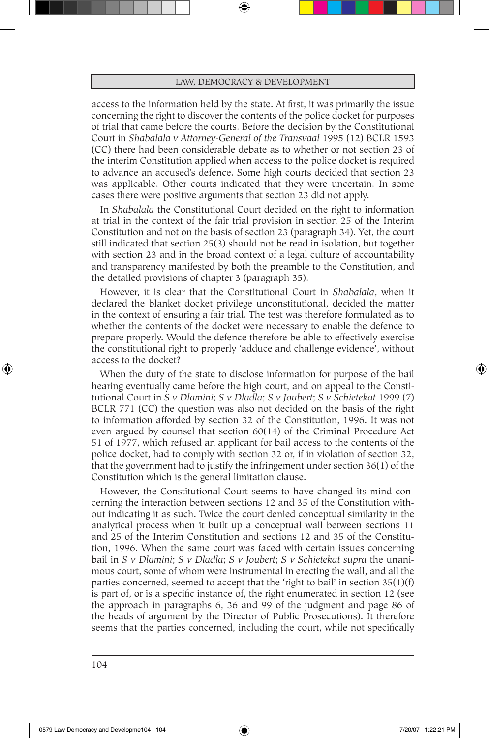access to the information held by the state. At first, it was primarily the issue concerning the right to discover the contents of the police docket for purposes of trial that came before the courts. Before the decision by the Constitutional Court in *Shabalala v Attorney-General of the Transvaal* 1995 (12) BCLR 1593 (CC) there had been considerable debate as to whether or not section 23 of the interim Constitution applied when access to the police docket is required to advance an accused's defence. Some high courts decided that section 23 was applicable. Other courts indicated that they were uncertain. In some cases there were positive arguments that section 23 did not apply.

In *Shabalala* the Constitutional Court decided on the right to information at trial in the context of the fair trial provision in section 25 of the Interim Constitution and not on the basis of section 23 (paragraph 34). Yet, the court still indicated that section 25(3) should not be read in isolation, but together with section 23 and in the broad context of a legal culture of accountability and transparency manifested by both the preamble to the Constitution, and the detailed provisions of chapter 3 (paragraph 35).

However, it is clear that the Constitutional Court in *Shabalala*, when it declared the blanket docket privilege unconstitutional, decided the matter in the context of ensuring a fair trial. The test was therefore formulated as to whether the contents of the docket were necessary to enable the defence to prepare properly. Would the defence therefore be able to effectively exercise the constitutional right to properly 'adduce and challenge evidence', without access to the docket?

When the duty of the state to disclose information for purpose of the bail hearing eventually came before the high court, and on appeal to the Constitutional Court in *S v Dlamini*; *S v Dladla*; *S v Joubert*; *S v Schietekat* 1999 (7) BCLR 771 (CC) the question was also not decided on the basis of the right to information afforded by section 32 of the Constitution, 1996. It was not even argued by counsel that section 60(14) of the Criminal Procedure Act 51 of 1977, which refused an applicant for bail access to the contents of the police docket, had to comply with section 32 or, if in violation of section 32, that the government had to justify the infringement under section 36(1) of the Constitution which is the general limitation clause.

However, the Constitutional Court seems to have changed its mind concerning the interaction between sections 12 and 35 of the Constitution without indicating it as such. Twice the court denied conceptual similarity in the analytical process when it built up a conceptual wall between sections 11 and 25 of the Interim Constitution and sections 12 and 35 of the Constitution, 1996. When the same court was faced with certain issues concerning bail in *S v Dlamini*; *S v Dladla*; *S v Joubert*; *S v Schietekat supra* the unanimous court, some of whom were instrumental in erecting the wall, and all the parties concerned, seemed to accept that the 'right to bail' in section  $35(1)(f)$ is part of, or is a specific instance of, the right enumerated in section 12 (see the approach in paragraphs 6, 36 and 99 of the judgment and page 86 of the heads of argument by the Director of Public Prosecutions). It therefore seems that the parties concerned, including the court, while not specifically

⊕

♠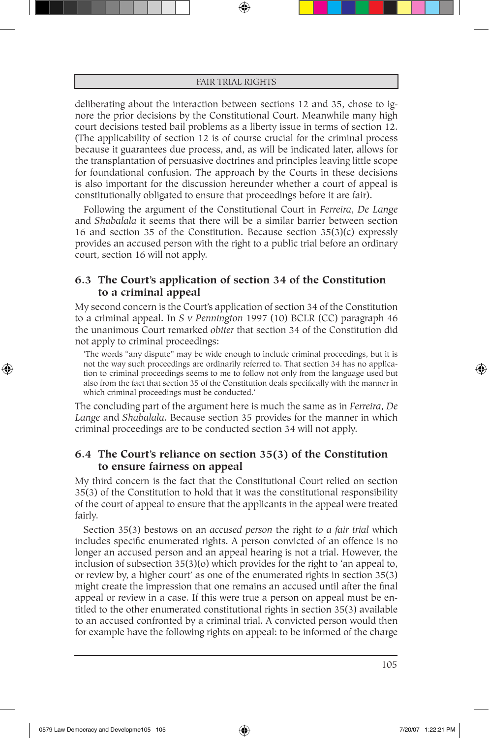deliberating about the interaction between sections 12 and 35, chose to ignore the prior decisions by the Constitutional Court. Meanwhile many high court decisions tested bail problems as a liberty issue in terms of section 12. (The applicability of section 12 is of course crucial for the criminal process because it guarantees due process, and, as will be indicated later, allows for the transplantation of persuasive doctrines and principles leaving little scope for foundational confusion. The approach by the Courts in these decisions is also important for the discussion hereunder whether a court of appeal is constitutionally obligated to ensure that proceedings before it are fair).

Following the argument of the Constitutional Court in *Ferreira*, *De Lange* and *Shabalala* it seems that there will be a similar barrier between section 16 and section 35 of the Constitution. Because section 35(3)(c) expressly provides an accused person with the right to a public trial before an ordinary court, section 16 will not apply.

## **6.3 The Court's application of section 34 of the Constitution to a criminal appeal**

My second concern is the Court's application of section 34 of the Constitution to a criminal appeal. In *S v Pennington* 1997 (10) BCLR (CC) paragraph 46 the unanimous Court remarked *obiter* that section 34 of the Constitution did not apply to criminal proceedings:

'The words "any dispute" may be wide enough to include criminal proceedings, but it is not the way such proceedings are ordinarily referred to. That section 34 has no application to criminal proceedings seems to me to follow not only from the language used but also from the fact that section 35 of the Constitution deals specifically with the manner in which criminal proceedings must be conducted.'

The concluding part of the argument here is much the same as in *Ferreira*, *De Lange* and *Shabalala*. Because section 35 provides for the manner in which criminal proceedings are to be conducted section 34 will not apply.

## **6.4 The Court's reliance on section 35(3) of the Constitution to ensure fairness on appeal**

My third concern is the fact that the Constitutional Court relied on section 35(3) of the Constitution to hold that it was the constitutional responsibility of the court of appeal to ensure that the applicants in the appeal were treated fairly.

Section 35(3) bestows on an *accused person* the right *to a fair trial* which includes specific enumerated rights. A person convicted of an offence is no longer an accused person and an appeal hearing is not a trial. However, the inclusion of subsection 35(3)(o) which provides for the right to 'an appeal to, or review by, a higher court' as one of the enumerated rights in section 35(3) might create the impression that one remains an accused until after the final appeal or review in a case. If this were true a person on appeal must be entitled to the other enumerated constitutional rights in section 35(3) available to an accused confronted by a criminal trial. A convicted person would then for example have the following rights on appeal: to be informed of the charge

⊕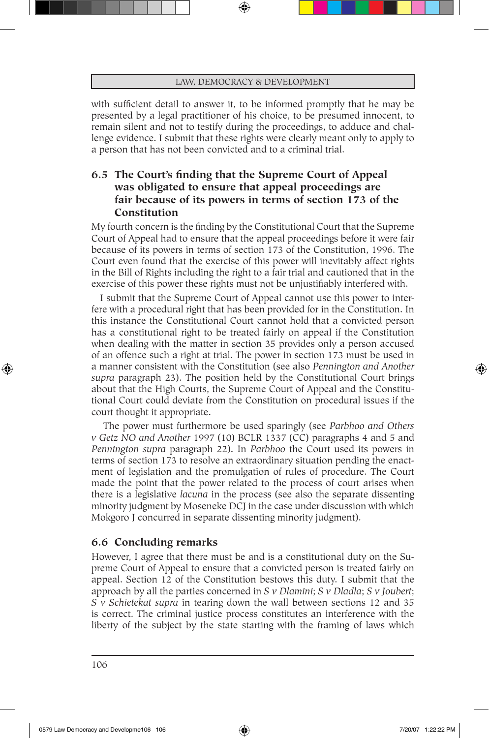with sufficient detail to answer it, to be informed promptly that he may be presented by a legal practitioner of his choice, to be presumed innocent, to remain silent and not to testify during the proceedings, to adduce and challenge evidence. I submit that these rights were clearly meant only to apply to a person that has not been convicted and to a criminal trial.

# **6.5 The Court's finding that the Supreme Court of Appeal was obligated to ensure that appeal proceedings are fair because of its powers in terms of section 173 of the Constitution**

My fourth concern is the finding by the Constitutional Court that the Supreme Court of Appeal had to ensure that the appeal proceedings before it were fair because of its powers in terms of section 173 of the Constitution, 1996. The Court even found that the exercise of this power will inevitably affect rights in the Bill of Rights including the right to a fair trial and cautioned that in the exercise of this power these rights must not be unjustifiably interfered with.

I submit that the Supreme Court of Appeal cannot use this power to interfere with a procedural right that has been provided for in the Constitution. In this instance the Constitutional Court cannot hold that a convicted person has a constitutional right to be treated fairly on appeal if the Constitution when dealing with the matter in section 35 provides only a person accused of an offence such a right at trial. The power in section 173 must be used in a manner consistent with the Constitution (see also *Pennington and Another supra* paragraph 23). The position held by the Constitutional Court brings about that the High Courts, the Supreme Court of Appeal and the Constitutional Court could deviate from the Constitution on procedural issues if the court thought it appropriate.

 The power must furthermore be used sparingly (see *Parbhoo and Others v Getz NO and Another* 1997 (10) BCLR 1337 (CC) paragraphs 4 and 5 and *Pennington supra* paragraph 22). In *Parbhoo* the Court used its powers in terms of section 173 to resolve an extraordinary situation pending the enactment of legislation and the promulgation of rules of procedure. The Court made the point that the power related to the process of court arises when there is a legislative *lacuna* in the process (see also the separate dissenting minority judgment by Moseneke DCJ in the case under discussion with which Mokgoro J concurred in separate dissenting minority judgment).

### **6.6 Concluding remarks**

However, I agree that there must be and is a constitutional duty on the Supreme Court of Appeal to ensure that a convicted person is treated fairly on appeal. Section 12 of the Constitution bestows this duty. I submit that the approach by all the parties concerned in *S v Dlamini*; *S v Dladla*; *S v Joubert*; *S v Schietekat supra* in tearing down the wall between sections 12 and 35 is correct. The criminal justice process constitutes an interference with the liberty of the subject by the state starting with the framing of laws which

⊕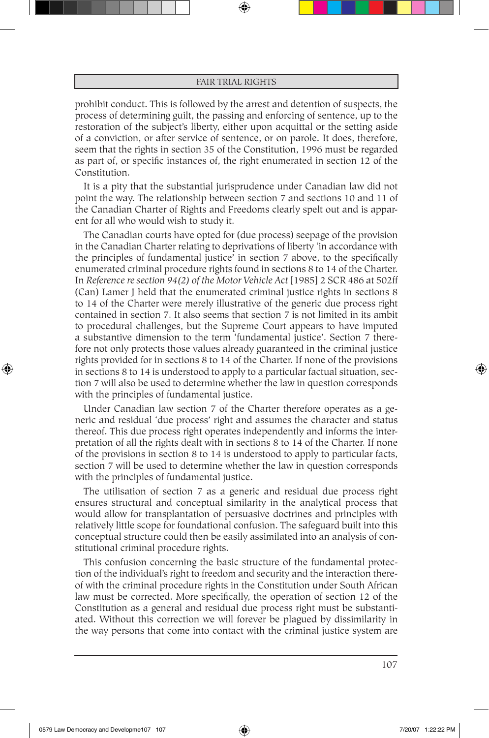prohibit conduct. This is followed by the arrest and detention of suspects, the process of determining guilt, the passing and enforcing of sentence, up to the restoration of the subject's liberty, either upon acquittal or the setting aside of a conviction, or after service of sentence, or on parole. It does, therefore, seem that the rights in section 35 of the Constitution, 1996 must be regarded as part of, or specific instances of, the right enumerated in section 12 of the Constitution.

It is a pity that the substantial jurisprudence under Canadian law did not point the way. The relationship between section 7 and sections 10 and 11 of the Canadian Charter of Rights and Freedoms clearly spelt out and is apparent for all who would wish to study it.

The Canadian courts have opted for (due process) seepage of the provision in the Canadian Charter relating to deprivations of liberty 'in accordance with the principles of fundamental justice' in section 7 above, to the specifically enumerated criminal procedure rights found in sections 8 to 14 of the Charter. In *Reference re section 94(2) of the Motor Vehicle Act* [1985] 2 SCR 486 at 502ff (Can) Lamer J held that the enumerated criminal justice rights in sections 8 to 14 of the Charter were merely illustrative of the generic due process right contained in section 7. It also seems that section 7 is not limited in its ambit to procedural challenges, but the Supreme Court appears to have imputed a substantive dimension to the term 'fundamental justice'. Section 7 therefore not only protects those values already guaranteed in the criminal justice rights provided for in sections 8 to 14 of the Charter. If none of the provisions in sections 8 to 14 is understood to apply to a particular factual situation, section 7 will also be used to determine whether the law in question corresponds with the principles of fundamental justice.

Under Canadian law section 7 of the Charter therefore operates as a generic and residual 'due process' right and assumes the character and status thereof. This due process right operates independently and informs the interpretation of all the rights dealt with in sections 8 to 14 of the Charter. If none of the provisions in section 8 to 14 is understood to apply to particular facts, section 7 will be used to determine whether the law in question corresponds with the principles of fundamental justice.

The utilisation of section 7 as a generic and residual due process right ensures structural and conceptual similarity in the analytical process that would allow for transplantation of persuasive doctrines and principles with relatively little scope for foundational confusion. The safeguard built into this conceptual structure could then be easily assimilated into an analysis of constitutional criminal procedure rights.

This confusion concerning the basic structure of the fundamental protection of the individual's right to freedom and security and the interaction thereof with the criminal procedure rights in the Constitution under South African law must be corrected. More specifically, the operation of section 12 of the Constitution as a general and residual due process right must be substantiated. Without this correction we will forever be plagued by dissimilarity in the way persons that come into contact with the criminal justice system are

107

⊕